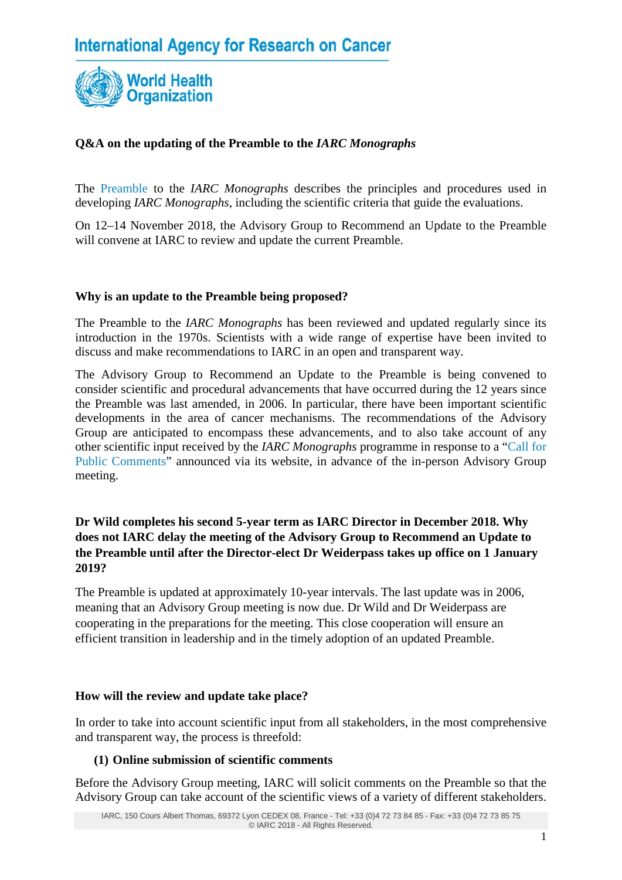

# **Q&A on the updating of the Preamble to the** *IARC Monographs*

The [Preamble](http://monographs.iarc.fr/ENG/Preamble/index.php) to the *IARC Monographs* describes the principles and procedures used in developing *IARC Monographs*, including the scientific criteria that guide the evaluations.

On 12–14 November 2018, the Advisory Group to Recommend an Update to the Preamble will convene at IARC to review and update the current Preamble.

### **Why is an update to the Preamble being proposed?**

The Preamble to the *IARC Monographs* has been reviewed and updated regularly since its introduction in the 1970s. Scientists with a wide range of expertise have been invited to discuss and make recommendations to IARC in an open and transparent way.

The Advisory Group to Recommend an Update to the Preamble is being convened to consider scientific and procedural advancements that have occurred during the 12 years since the Preamble was last amended, in 2006. In particular, there have been important scientific developments in the area of cancer mechanisms. The recommendations of the Advisory Group are anticipated to encompass these advancements, and to also take account of any other scientific input received by the *IARC Monographs* programme in response to a ["Call for](http://monographs.iarc.fr/ENG/Meetings/index.php)  [Public Comments"](http://monographs.iarc.fr/ENG/Meetings/index.php) announced via its website, in advance of the in-person Advisory Group meeting.

# **Dr Wild completes his second 5-year term as IARC Director in December 2018. Why does not IARC delay the meeting of the Advisory Group to Recommend an Update to the Preamble until after the Director-elect Dr Weiderpass takes up office on 1 January 2019?**

The Preamble is updated at approximately 10-year intervals. The last update was in 2006, meaning that an Advisory Group meeting is now due. Dr Wild and Dr Weiderpass are cooperating in the preparations for the meeting. This close cooperation will ensure an efficient transition in leadership and in the timely adoption of an updated Preamble.

#### **How will the review and update take place?**

In order to take into account scientific input from all stakeholders, in the most comprehensive and transparent way, the process is threefold:

## **(1) Online submission of scientific comments**

Before the Advisory Group meeting, IARC will solicit comments on the Preamble so that the Advisory Group can take account of the scientific views of a variety of different stakeholders.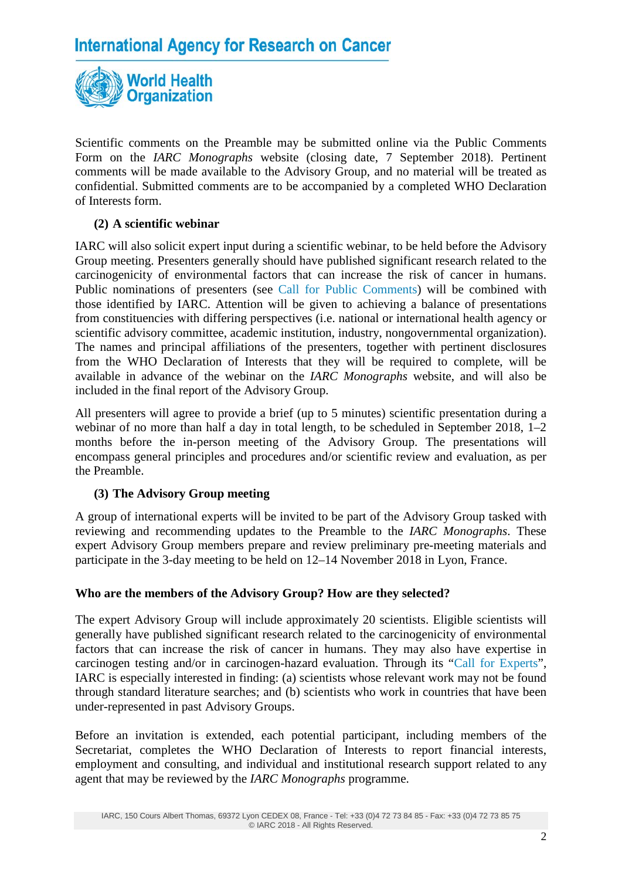

Scientific comments on the Preamble may be submitted online via the Public Comments Form on the *IARC Monographs* website (closing date, 7 September 2018). Pertinent comments will be made available to the Advisory Group, and no material will be treated as confidential. Submitted comments are to be accompanied by a completed WHO Declaration of Interests form.

# **(2) A scientific webinar**

IARC will also solicit expert input during a scientific webinar, to be held before the Advisory Group meeting. Presenters generally should have published significant research related to the carcinogenicity of environmental factors that can increase the risk of cancer in humans. Public nominations of presenters (see [Call for Public Comments\)](http://monographs.iarc.fr/ENG/Meetings/index.php) will be combined with those identified by IARC. Attention will be given to achieving a balance of presentations from constituencies with differing perspectives (i.e. national or international health agency or scientific advisory committee, academic institution, industry, nongovernmental organization). The names and principal affiliations of the presenters, together with pertinent disclosures from the WHO Declaration of Interests that they will be required to complete, will be available in advance of the webinar on the *IARC Monographs* website, and will also be included in the final report of the Advisory Group.

All presenters will agree to provide a brief (up to 5 minutes) scientific presentation during a webinar of no more than half a day in total length, to be scheduled in September 2018, 1–2 months before the in-person meeting of the Advisory Group. The presentations will encompass general principles and procedures and/or scientific review and evaluation, as per the Preamble.

## **(3) The Advisory Group meeting**

A group of international experts will be invited to be part of the Advisory Group tasked with reviewing and recommending updates to the Preamble to the *IARC Monographs*. These expert Advisory Group members prepare and review preliminary pre-meeting materials and participate in the 3-day meeting to be held on 12–14 November 2018 in Lyon, France.

## **Who are the members of the Advisory Group? How are they selected?**

The expert Advisory Group will include approximately 20 scientists. Eligible scientists will generally have published significant research related to the carcinogenicity of environmental factors that can increase the risk of cancer in humans. They may also have expertise in carcinogen testing and/or in carcinogen-hazard evaluation. Through its ["Call for Experts"](http://monographs.iarc.fr/ENG/Meetings/preamble-callexperts.php), IARC is especially interested in finding: (a) scientists whose relevant work may not be found through standard literature searches; and (b) scientists who work in countries that have been under-represented in past Advisory Groups.

Before an invitation is extended, each potential participant, including members of the Secretariat, completes the WHO Declaration of Interests to report financial interests, employment and consulting, and individual and institutional research support related to any agent that may be reviewed by the *IARC Monographs* programme.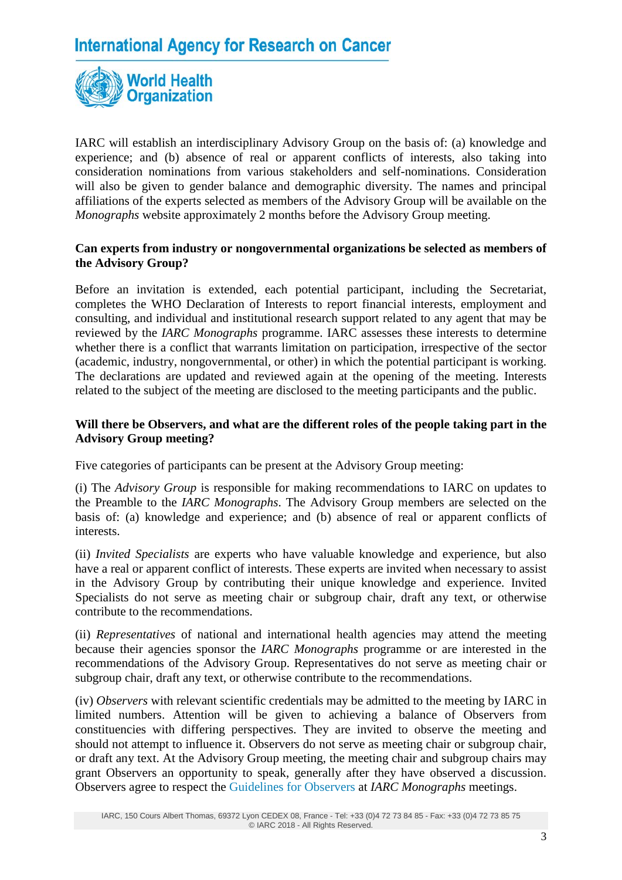

IARC will establish an interdisciplinary Advisory Group on the basis of: (a) knowledge and experience; and (b) absence of real or apparent conflicts of interests, also taking into consideration nominations from various stakeholders and self-nominations. Consideration will also be given to gender balance and demographic diversity. The names and principal affiliations of the experts selected as members of the Advisory Group will be available on the *Monographs* website approximately 2 months before the Advisory Group meeting.

### **Can experts from industry or nongovernmental organizations be selected as members of the Advisory Group?**

Before an invitation is extended, each potential participant, including the Secretariat, completes the WHO Declaration of Interests to report financial interests, employment and consulting, and individual and institutional research support related to any agent that may be reviewed by the *IARC Monographs* programme. IARC assesses these interests to determine whether there is a conflict that warrants limitation on participation, irrespective of the sector (academic, industry, nongovernmental, or other) in which the potential participant is working. The declarations are updated and reviewed again at the opening of the meeting. Interests related to the subject of the meeting are disclosed to the meeting participants and the public.

### **Will there be Observers, and what are the different roles of the people taking part in the Advisory Group meeting?**

Five categories of participants can be present at the Advisory Group meeting:

(i) The *Advisory Group* is responsible for making recommendations to IARC on updates to the Preamble to the *IARC Monographs*. The Advisory Group members are selected on the basis of: (a) knowledge and experience; and (b) absence of real or apparent conflicts of interests.

(ii) *Invited Specialists* are experts who have valuable knowledge and experience, but also have a real or apparent conflict of interests. These experts are invited when necessary to assist in the Advisory Group by contributing their unique knowledge and experience. Invited Specialists do not serve as meeting chair or subgroup chair, draft any text, or otherwise contribute to the recommendations.

(ii) *Representatives* of national and international health agencies may attend the meeting because their agencies sponsor the *IARC Monographs* programme or are interested in the recommendations of the Advisory Group. Representatives do not serve as meeting chair or subgroup chair, draft any text, or otherwise contribute to the recommendations.

(iv) *Observers* with relevant scientific credentials may be admitted to the meeting by IARC in limited numbers. Attention will be given to achieving a balance of Observers from constituencies with differing perspectives. They are invited to observe the meeting and should not attempt to influence it. Observers do not serve as meeting chair or subgroup chair, or draft any text. At the Advisory Group meeting, the meeting chair and subgroup chairs may grant Observers an opportunity to speak, generally after they have observed a discussion. Observers agree to respect the [Guidelines for Observers](http://monographs.iarc.fr/ENG/Meetings/ObsGuide0111.php) at *IARC Monographs* meetings.